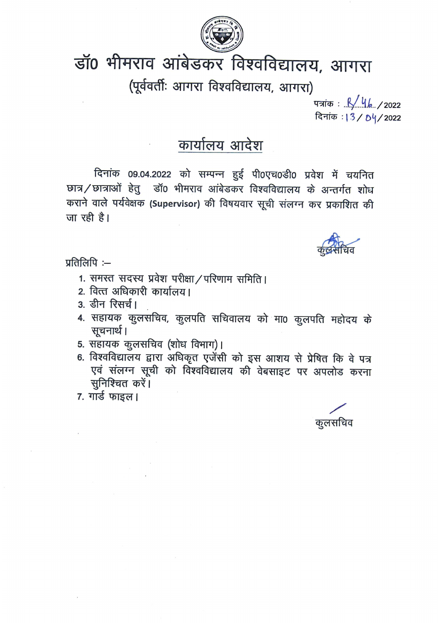

# डॉ0 भीमराव आंबेडकर विश्वविद्यालय, आगरा

(पूर्ववर्तीः आगरा विश्वविद्यालय, आगरा)

पत्रांक : <u>,Қ/ ५/ 7</u>2022 दिनांक: 13/04/2022

## कार्यालय आदेश

दिनांक 09.04.2022 को सम्पन्न हुई पी0एच0डी0 प्रवेश में चयनित छात्र/छात्राओं हेतु डॉ0 भीमराव आंबेडकर विश्वविद्यालय के अन्तर्गत शोध कराने वाले पर्यवेक्षक (Supervisor) की विषयवार सूची संलग्न कर प्रकाशित की जा रही है।



प्रतिलिपि $:=$ 

- 1. समस्त सदस्य प्रवेश परीक्षा / परिणाम समिति।
- 2. वित्त अधिकारी कार्यालय।
- 3. डीन रिसर्च।
- 4. सहायक कुलसचिव, कुलपति सचिवालय को मा0 कुलपति महोदय के सूचनार्थ।
- 5. सहायक कुलसचिव (शोध विभाग)।
- 6. विश्वविद्यालय द्वारा अधिकृत एजेंसी को इस आशय से प्रेषित कि वे पत्र एवं संलग्न सूची को विश्वविद्यालय की वेबसाइट पर अपलोड करना सुनिश्चित करें।
- 7. गार्ड फाइल।

कूलसचिव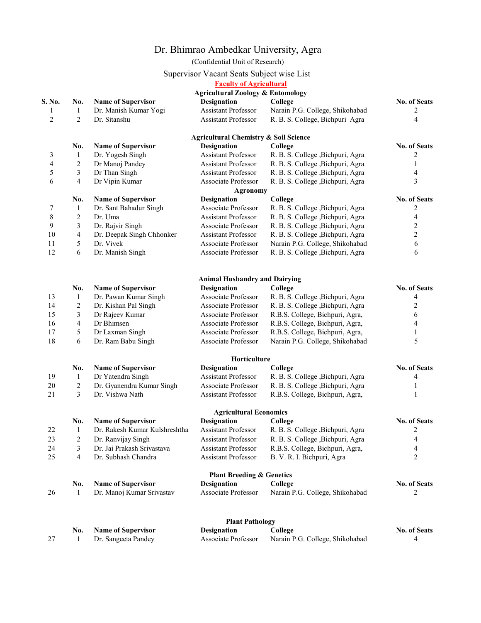### Dr. Bhimrao Ambedkar University, Agra

(Confidential Unit of Research)

#### Supervisor Vacant Seats Subject wise List

| <b>Faculty of Agricultural</b> |  |  |  |  |
|--------------------------------|--|--|--|--|
|                                |  |  |  |  |

|                                                                                                                                                      |                |                               | Patuny of Agritunui ai<br><b>Agricultural Zoology &amp; Entomology</b> |                                   |                          |
|------------------------------------------------------------------------------------------------------------------------------------------------------|----------------|-------------------------------|------------------------------------------------------------------------|-----------------------------------|--------------------------|
|                                                                                                                                                      | No.            | <b>Name of Supervisor</b>     | <b>Designation</b>                                                     | College                           | <b>No. of Seats</b>      |
|                                                                                                                                                      | $\mathbf{1}$   | Dr. Manish Kumar Yogi         | <b>Assistant Professor</b>                                             | Narain P.G. College, Shikohabad   | 2                        |
|                                                                                                                                                      | $\overline{c}$ | Dr. Sitanshu                  | Assistant Professor                                                    | R. B. S. College, Bichpuri Agra   | $\overline{4}$           |
| S. No.<br>1<br>$\overline{c}$<br>3<br>4<br>5<br>6<br>7<br>8<br>9<br>10<br>11<br>12<br>13<br>14<br>15<br>16<br>17<br>18<br>19<br>20<br>21<br>22<br>23 |                |                               |                                                                        |                                   |                          |
|                                                                                                                                                      |                |                               | <b>Agricultural Chemistry &amp; Soil Science</b>                       |                                   |                          |
|                                                                                                                                                      | No.            | <b>Name of Supervisor</b>     | <b>Designation</b>                                                     | College                           | No. of Seats             |
|                                                                                                                                                      | $\mathbf{1}$   | Dr. Yogesh Singh              | Assistant Professor                                                    | R. B. S. College , Bichpuri, Agra | 2                        |
|                                                                                                                                                      | $\overline{c}$ | Dr Manoj Pandey               | <b>Assistant Professor</b>                                             | R. B. S. College , Bichpuri, Agra | $\mathbf{1}$             |
|                                                                                                                                                      | 3              | Dr Than Singh                 | Assistant Professor                                                    | R. B. S. College , Bichpuri, Agra | 4                        |
|                                                                                                                                                      | 4              | Dr Vipin Kumar                | Associate Professor                                                    | R. B. S. College , Bichpuri, Agra | 3                        |
|                                                                                                                                                      |                |                               | <b>Agronomy</b>                                                        |                                   |                          |
|                                                                                                                                                      | No.            | <b>Name of Supervisor</b>     | <b>Designation</b>                                                     | College                           | No. of Seats             |
|                                                                                                                                                      | 1              | Dr. Sant Bahadur Singh        | Associate Professor                                                    | R. B. S. College , Bichpuri, Agra | 2                        |
|                                                                                                                                                      | $\overline{2}$ | Dr. Uma                       | <b>Assistant Professor</b>                                             | R. B. S. College , Bichpuri, Agra | $\overline{\mathcal{L}}$ |
|                                                                                                                                                      | $\mathfrak{Z}$ | Dr. Rajvir Singh              | Associate Professor                                                    | R. B. S. College , Bichpuri, Agra | $\overline{c}$           |
|                                                                                                                                                      | $\overline{4}$ | Dr. Deepak Singh Chhonker     | Assistant Professor                                                    | R. B. S. College , Bichpuri, Agra | $\boldsymbol{2}$         |
|                                                                                                                                                      | 5              | Dr. Vivek                     | Associate Professor                                                    | Narain P.G. College, Shikohabad   | 6                        |
|                                                                                                                                                      | 6              | Dr. Manish Singh              | Associate Professor                                                    | R. B. S. College , Bichpuri, Agra | 6                        |
|                                                                                                                                                      |                |                               |                                                                        |                                   |                          |
|                                                                                                                                                      |                |                               | <b>Animal Husbandry and Dairying</b>                                   |                                   |                          |
|                                                                                                                                                      | No.            | <b>Name of Supervisor</b>     | <b>Designation</b>                                                     | College                           | No. of Seats             |
|                                                                                                                                                      | $\mathbf{1}$   | Dr. Pawan Kumar Singh         | Associate Professor                                                    | R. B. S. College , Bichpuri, Agra | 4                        |
|                                                                                                                                                      | $\overline{c}$ | Dr. Kishan Pal Singh          | Associate Professor                                                    | R. B. S. College , Bichpuri, Agra | 2                        |
|                                                                                                                                                      | $\mathfrak{Z}$ | Dr Rajeev Kumar               | Associate Professor                                                    | R.B.S. College, Bichpuri, Agra,   | 6                        |
|                                                                                                                                                      | $\overline{4}$ | Dr Bhimsen                    | Associate Professor                                                    | R.B.S. College, Bichpuri, Agra,   | 4                        |
|                                                                                                                                                      | 5              | Dr Laxman Singh               | Associate Professor                                                    | R.B.S. College, Bichpuri, Agra,   | 1                        |
|                                                                                                                                                      | 6              | Dr. Ram Babu Singh            | Associate Professor                                                    | Narain P.G. College, Shikohabad   | 5                        |
|                                                                                                                                                      |                |                               | Horticulture                                                           |                                   |                          |
|                                                                                                                                                      | No.            | <b>Name of Supervisor</b>     | <b>Designation</b>                                                     | College                           | No. of Seats             |
|                                                                                                                                                      | 1              | Dr Yatendra Singh             | <b>Assistant Professor</b>                                             | R. B. S. College , Bichpuri, Agra | 4                        |
|                                                                                                                                                      | $\overline{2}$ | Dr. Gyanendra Kumar Singh     | Associate Professor                                                    | R. B. S. College , Bichpuri, Agra | 1                        |
|                                                                                                                                                      | 3              | Dr. Vishwa Nath               | Assistant Professor                                                    | R.B.S. College, Bichpuri, Agra,   | 1                        |
|                                                                                                                                                      |                |                               | <b>Agricultural Economics</b>                                          |                                   |                          |
|                                                                                                                                                      | No.            | <b>Name of Supervisor</b>     | <b>Designation</b>                                                     | College                           | No. of Seats             |
|                                                                                                                                                      | 1              | Dr. Rakesh Kumar Kulshreshtha | Assistant Professor                                                    | R. B. S. College , Bichpuri, Agra | 2                        |
|                                                                                                                                                      | $\sqrt{2}$     | Dr. Ranvijay Singh            | Assistant Professor                                                    | R. B. S. College , Bichpuri, Agra | 4                        |
| 24                                                                                                                                                   | 3              | Dr. Jai Prakash Srivastava    | <b>Assistant Professor</b>                                             | R.B.S. College, Bichpuri, Agra,   | 4                        |
| 25                                                                                                                                                   | $\overline{4}$ | Dr. Subhash Chandra           | <b>Assistant Professor</b>                                             | B. V. R. I. Bichpuri, Agra        | $\overline{2}$           |
|                                                                                                                                                      |                |                               | <b>Plant Breeding &amp; Genetics</b>                                   |                                   |                          |
|                                                                                                                                                      | No.            | <b>Name of Supervisor</b>     | <b>Designation</b>                                                     | College                           | No. of Seats             |
| 26                                                                                                                                                   | -1             | Dr. Manoj Kumar Srivastav     | Associate Professor                                                    | Narain P.G. College, Shikohabad   | 2                        |
|                                                                                                                                                      |                |                               | <b>Plant Pathology</b>                                                 |                                   |                          |
|                                                                                                                                                      | No.            | <b>Name of Supervisor</b>     | <b>Designation</b>                                                     | College                           | No. of Seats             |
| 27                                                                                                                                                   | 1              | Dr. Sangeeta Pandey           | Associate Professor                                                    | Narain P.G. College, Shikohabad   | 4                        |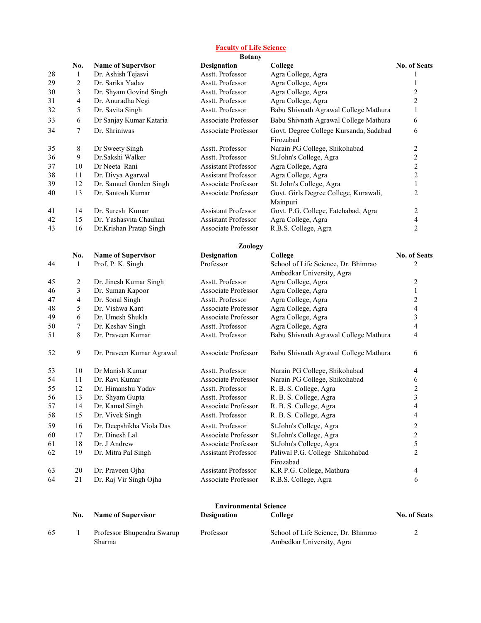#### Faculty of Life Science

|    |                         |                           | <b>Botany</b>              |                                                                  |                         |
|----|-------------------------|---------------------------|----------------------------|------------------------------------------------------------------|-------------------------|
|    | No.                     | <b>Name of Supervisor</b> | <b>Designation</b>         | College                                                          | <b>No. of Seats</b>     |
| 28 | $\mathbf{1}$            | Dr. Ashish Tejasvi        | Asstt. Professor           | Agra College, Agra                                               |                         |
| 29 | $\overline{c}$          | Dr. Sarika Yadav          | Asstt. Professor           | Agra College, Agra                                               | 1                       |
| 30 | 3                       | Dr. Shyam Govind Singh    | Asstt. Professor           | Agra College, Agra                                               | $\mathbf{2}$            |
| 31 | $\overline{4}$          | Dr. Anuradha Negi         | Asstt. Professor           | Agra College, Agra                                               | $\overline{2}$          |
| 32 | 5                       | Dr. Savita Singh          | Asstt. Professor           | Babu Shivnath Agrawal College Mathura                            | $\mathbf{1}$            |
| 33 | 6                       | Dr Sanjay Kumar Kataria   | Associate Professor        | Babu Shivnath Agrawal College Mathura                            | 6                       |
| 34 | 7                       | Dr. Shriniwas             | Associate Professor        | Govt. Degree College Kursanda, Sadabad<br>Firozabad              | 6                       |
| 35 | 8                       | Dr Sweety Singh           | Asstt. Professor           | Narain PG College, Shikohabad                                    | $\mathbf{2}$            |
| 36 | 9                       | Dr.Sakshi Walker          | Asstt. Professor           | St.John's College, Agra                                          | $\overline{c}$          |
| 37 | 10                      | Dr Neeta Rani             | <b>Assistant Professor</b> | Agra College, Agra                                               | $\overline{c}$          |
| 38 | 11                      | Dr. Divya Agarwal         | <b>Assistant Professor</b> | Agra College, Agra                                               | $\boldsymbol{2}$        |
| 39 | 12                      | Dr. Samuel Gorden Singh   | Associate Professor        | St. John's College, Agra                                         | $\mathbf{1}$            |
| 40 | 13                      | Dr. Santosh Kumar         | Associate Professor        | Govt. Girls Degree College, Kurawali,<br>Mainpuri                | $\overline{2}$          |
| 41 | 14                      | Dr. Suresh Kumar          | Assistant Professor        | Govt. P.G. College, Fatehabad, Agra                              | 2                       |
| 42 | 15                      | Dr. Yashasvita Chauhan    | <b>Assistant Professor</b> | Agra College, Agra                                               | $\overline{\mathbf{4}}$ |
| 43 | 16                      | Dr.Krishan Pratap Singh   | Associate Professor        | R.B.S. College, Agra                                             | $\overline{2}$          |
|    |                         |                           | Zoology                    |                                                                  |                         |
|    | No.                     | <b>Name of Supervisor</b> | <b>Designation</b>         | College                                                          | No. of Seats            |
| 44 | 1                       | Prof. P. K. Singh         | Professor                  | School of Life Science, Dr. Bhimrao<br>Ambedkar University, Agra | 2                       |
| 45 | $\overline{c}$          | Dr. Jinesh Kumar Singh    | Asstt. Professor           | Agra College, Agra                                               | 2                       |
| 46 | 3                       | Dr. Suman Kapoor          | Associate Professor        | Agra College, Agra                                               | $\mathbf{1}$            |
| 47 | $\overline{\mathbf{4}}$ | Dr. Sonal Singh           | Asstt. Professor           | Agra College, Agra                                               | $\sqrt{2}$              |
| 48 | 5                       | Dr. Vishwa Kant           | Associate Professor        | Agra College, Agra                                               | $\overline{\mathbf{4}}$ |
| 49 | 6                       | Dr. Umesh Shukla          | Associate Professor        | Agra College, Agra                                               | $\overline{3}$          |
| 50 | 7                       | Dr. Keshav Singh          | Asstt. Professor           | Agra College, Agra                                               | 4                       |
| 51 | 8                       | Dr. Praveen Kumar         | Asstt. Professor           | Babu Shivnath Agrawal College Mathura                            | 4                       |
| 52 | 9                       | Dr. Praveen Kumar Agrawal | Associate Professor        | Babu Shivnath Agrawal College Mathura                            | 6                       |
| 53 | 10                      | Dr Manish Kumar           | Asstt. Professor           | Narain PG College, Shikohabad                                    | 4                       |
| 54 | 11                      | Dr. Ravi Kumar            | Associate Professor        | Narain PG College, Shikohabad                                    | 6                       |
| 55 | 12                      | Dr. Himanshu Yadav        | Asstt. Professor           | R. B. S. College, Agra                                           | $\mathbf{2}$            |
| 56 | 13                      | Dr. Shyam Gupta           | Asstt. Professor           | R. B. S. College, Agra                                           | 3                       |
| 57 | 14                      | Dr. Kamal Singh           | Associate Professor        | R. B. S. College, Agra                                           | 4                       |
| 58 | 15                      | Dr. Vivek Singh           | Asstt. Professor           | R. B. S. College, Agra                                           | 4                       |
| 59 | 16                      | Dr. Deepshikha Viola Das  | Asstt. Professor           | St.John's College, Agra                                          | 2                       |
| 60 | 17                      | Dr. Dinesh Lal            | Associate Professor        | St.John's College, Agra                                          | $\overline{c}$          |
| 61 | 18                      | Dr. J Andrew              | Associate Professor        | St.John's College, Agra                                          | 5                       |
| 62 | 19                      | Dr. Mitra Pal Singh       | Assistant Professor        | Paliwal P.G. College Shikohabad<br>Firozabad                     | 2                       |
| 63 | 20                      | Dr. Praveen Ojha          | Assistant Professor        | K.R P.G. College, Mathura                                        | 4                       |
| 64 | 21                      | Dr. Raj Vir Singh Ojha    | Associate Professor        | R.B.S. College, Agra                                             | 6                       |
|    |                         |                           |                            |                                                                  |                         |

|    |     | <b>Environmental Science</b> |                    |                                     |                     |  |  |
|----|-----|------------------------------|--------------------|-------------------------------------|---------------------|--|--|
|    | No. | <b>Name of Supervisor</b>    | <b>Designation</b> | College                             | <b>No. of Seats</b> |  |  |
| 65 |     | Professor Bhupendra Swarup   | Professor          | School of Life Science, Dr. Bhimrao |                     |  |  |
|    |     | Sharma                       |                    | Ambedkar University, Agra           |                     |  |  |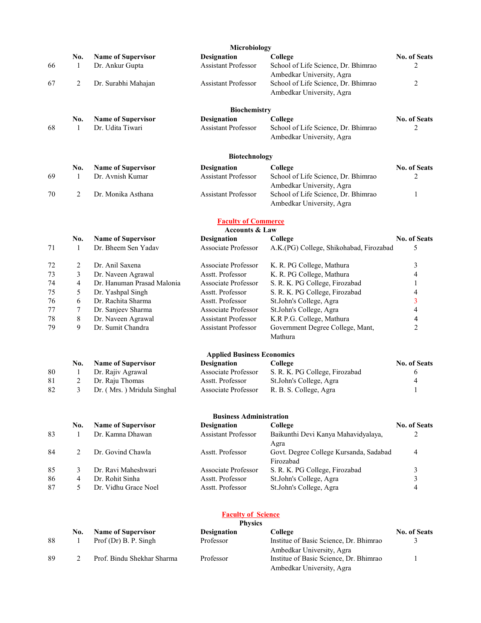|    |                |                                               | Microbiology                                     |                                                |                         |
|----|----------------|-----------------------------------------------|--------------------------------------------------|------------------------------------------------|-------------------------|
|    | No.            | <b>Name of Supervisor</b>                     | <b>Designation</b>                               | College                                        | No. of Seats            |
| 66 | 1              | Dr. Ankur Gupta                               | <b>Assistant Professor</b>                       | School of Life Science, Dr. Bhimrao            | 2                       |
|    |                |                                               |                                                  | Ambedkar University, Agra                      |                         |
| 67 | $\overline{2}$ | Dr. Surabhi Mahajan                           | Assistant Professor                              | School of Life Science, Dr. Bhimrao            | 2                       |
|    |                |                                               |                                                  | Ambedkar University, Agra                      |                         |
|    |                |                                               | Biochemistry                                     |                                                |                         |
|    | No.            | <b>Name of Supervisor</b>                     | Designation                                      | College                                        | <b>No. of Seats</b>     |
| 68 | 1              | Dr. Udita Tiwari                              | <b>Assistant Professor</b>                       | School of Life Science, Dr. Bhimrao            | 2                       |
|    |                |                                               |                                                  | Ambedkar University, Agra                      |                         |
|    |                |                                               |                                                  |                                                |                         |
|    |                |                                               | Biotechnology                                    |                                                |                         |
| 69 | No.<br>1       | <b>Name of Supervisor</b><br>Dr. Avnish Kumar | <b>Designation</b><br><b>Assistant Professor</b> | College<br>School of Life Science, Dr. Bhimrao | No. of Seats<br>2       |
|    |                |                                               |                                                  | Ambedkar University, Agra                      |                         |
| 70 | $\overline{2}$ | Dr. Monika Asthana                            | <b>Assistant Professor</b>                       | School of Life Science, Dr. Bhimrao            | 1                       |
|    |                |                                               |                                                  | Ambedkar University, Agra                      |                         |
|    |                |                                               | <b>Faculty of Commerce</b>                       |                                                |                         |
|    |                |                                               | <b>Accounts &amp; Law</b>                        |                                                |                         |
|    | No.            | <b>Name of Supervisor</b>                     | <b>Designation</b>                               | College                                        | <b>No. of Seats</b>     |
| 71 | 1              | Dr. Bheem Sen Yadav                           | Associate Professor                              | A.K.(PG) College, Shikohabad, Firozabad        | 5                       |
| 72 | 2              | Dr. Anil Saxena                               | Associate Professor                              | K. R. PG College, Mathura                      | 3                       |
| 73 | 3              | Dr. Naveen Agrawal                            | Asstt. Professor                                 | K. R. PG College, Mathura                      | 4                       |
| 74 | 4              | Dr. Hanuman Prasad Malonia                    | Associate Professor                              | S. R. K. PG College, Firozabad                 | 1                       |
| 75 | 5              | Dr. Yashpal Singh                             | Asstt. Professor                                 | S. R. K. PG College, Firozabad                 | 4                       |
| 76 | 6              | Dr. Rachita Sharma                            | Asstt. Professor                                 | St.John's College, Agra                        | 3                       |
| 77 | 7              | Dr. Sanjeev Sharma                            | Associate Professor                              | St.John's College, Agra                        | $\overline{\mathbf{4}}$ |
| 78 | $8\,$          | Dr. Naveen Agrawal                            | <b>Assistant Professor</b>                       | K.R P.G. College, Mathura                      | 4                       |
| 79 | 9              | Dr. Sumit Chandra                             | <b>Assistant Professor</b>                       | Government Degree College, Mant,               | $\overline{2}$          |
|    |                |                                               |                                                  | Mathura                                        |                         |
|    |                |                                               | <b>Applied Business Economics</b>                |                                                |                         |
|    | No.            | <b>Name of Supervisor</b>                     | <b>Designation</b>                               | College                                        | No. of Seats            |
| 80 | 1              | Dr. Rajiv Agrawal                             | Associate Professor                              | S. R. K. PG College, Firozabad                 | 6                       |
| 81 | 2              | Dr. Raju Thomas                               | Asstt. Professor                                 | St.John's College, Agra                        | 4                       |
| 82 | 3              | Dr. (Mrs.) Mridula Singhal                    | Associate Professor                              | R. B. S. College, Agra                         | 1                       |
|    |                |                                               | <b>Business Administration</b>                   |                                                |                         |
|    | No.            | <b>Name of Supervisor</b>                     | <b>Designation</b>                               | College                                        | <b>No. of Seats</b>     |
| 83 | 1              | Dr. Kamna Dhawan                              | <b>Assistant Professor</b>                       | Baikunthi Devi Kanya Mahavidyalaya,<br>Agra    | 2                       |
| 84 | 2              | Dr. Govind Chawla                             | Asstt. Professor                                 | Govt. Degree College Kursanda, Sadabad         | 4                       |
| 85 | 3              | Dr. Ravi Maheshwari                           | Associate Professor                              | Firozabad<br>S. R. K. PG College, Firozabad    | 3                       |
| 86 | $\overline{4}$ | Dr. Rohit Sinha                               | Asstt. Professor                                 | St.John's College, Agra                        | 3                       |
| 87 | 5              | Dr. Vidhu Grace Noel                          | Asstt. Professor                                 | St.John's College, Agra                        | 4                       |
|    |                |                                               |                                                  |                                                |                         |
|    |                |                                               | <b>Faculty of Science</b>                        |                                                |                         |
|    | No.            | <b>Name of Supervisor</b>                     | <b>Physics</b><br><b>Designation</b>             | College                                        | No. of Seats            |
| 88 | 1              | Prof (Dr) B. P. Singh                         | Professor                                        | Institue of Basic Science, Dr. Bhimrao         | 3                       |

89 2 Prof. Bindu Shekhar Sharma Professor Institue of Basic Science, Dr. Bhimrao

Ambedkar University, Agra

1

Ambedkar University, Agra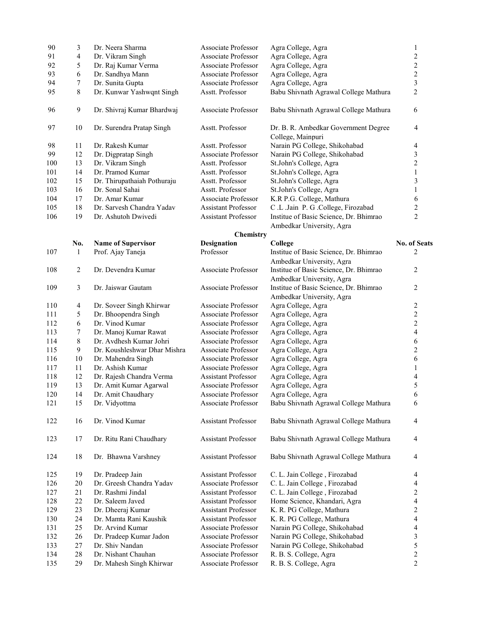| 90  | 3      | Dr. Neera Sharma             | Associate Professor        | Agra College, Agra                                        | $\mathbf{1}$            |
|-----|--------|------------------------------|----------------------------|-----------------------------------------------------------|-------------------------|
| 91  | 4      | Dr. Vikram Singh             | Associate Professor        | Agra College, Agra                                        | $\boldsymbol{2}$        |
| 92  | 5      | Dr. Raj Kumar Verma          | Associate Professor        | Agra College, Agra                                        | $\sqrt{2}$              |
| 93  | 6      | Dr. Sandhya Mann             | Associate Professor        | Agra College, Agra                                        | $\overline{c}$          |
| 94  | 7      | Dr. Sunita Gupta             | Associate Professor        | Agra College, Agra                                        | 3                       |
| 95  | 8      | Dr. Kunwar Yashwqnt Singh    | Asstt. Professor           | Babu Shivnath Agrawal College Mathura                     | $\overline{2}$          |
| 96  | 9      | Dr. Shivraj Kumar Bhardwaj   | Associate Professor        | Babu Shivnath Agrawal College Mathura                     | 6                       |
| 97  | 10     | Dr. Surendra Pratap Singh    | Asstt. Professor           | Dr. B. R. Ambedkar Government Degree<br>College, Mainpuri | 4                       |
| 98  | 11     | Dr. Rakesh Kumar             | Asstt. Professor           | Narain PG College, Shikohabad                             | 4                       |
| 99  | 12     | Dr. Digpratap Singh          | Associate Professor        | Narain PG College, Shikohabad                             | 3                       |
| 100 | 13     | Dr. Vikram Singh             | Asstt. Professor           | St.John's College, Agra                                   | $\overline{c}$          |
| 101 | 14     | Dr. Pramod Kumar             | Asstt. Professor           | St.John's College, Agra                                   | $\mathbf{1}$            |
| 102 | 15     | Dr. Thirupathaiah Pothuraju  | Asstt. Professor           | St.John's College, Agra                                   | 3                       |
| 103 | 16     | Dr. Sonal Sahai              | Asstt. Professor           | St.John's College, Agra                                   | $\mathbf{1}$            |
| 104 | 17     | Dr. Amar Kumar               | Associate Professor        | K.R P.G. College, Mathura                                 | 6                       |
| 105 | 18     | Dr. Sarvesh Chandra Yadav    | <b>Assistant Professor</b> | C.L.Jain P. G.College, Firozabad                          | $\boldsymbol{2}$        |
| 106 | 19     | Dr. Ashutoh Dwivedi          | <b>Assistant Professor</b> | Institue of Basic Science, Dr. Bhimrao                    | $\overline{2}$          |
|     |        |                              |                            | Ambedkar University, Agra                                 |                         |
|     |        |                              | <b>Chemistry</b>           |                                                           |                         |
|     | No.    | <b>Name of Supervisor</b>    | <b>Designation</b>         | College                                                   | No. of Seats            |
| 107 | 1      | Prof. Ajay Taneja            | Professor                  | Institue of Basic Science, Dr. Bhimrao                    | 2                       |
|     |        |                              |                            | Ambedkar University, Agra                                 |                         |
| 108 | 2      | Dr. Devendra Kumar           | Associate Professor        | Institue of Basic Science, Dr. Bhimrao                    | $\overline{c}$          |
|     |        |                              |                            | Ambedkar University, Agra                                 |                         |
| 109 | 3      | Dr. Jaiswar Gautam           | Associate Professor        | Institue of Basic Science, Dr. Bhimrao                    | $\overline{2}$          |
|     |        |                              |                            | Ambedkar University, Agra                                 |                         |
| 110 | 4      | Dr. Soveer Singh Khirwar     | Associate Professor        | Agra College, Agra                                        | $\overline{c}$          |
| 111 | 5      | Dr. Bhoopendra Singh         | Associate Professor        | Agra College, Agra                                        | $\overline{c}$          |
| 112 | 6      | Dr. Vinod Kumar              | Associate Professor        | Agra College, Agra                                        | $\overline{c}$          |
| 113 | 7      | Dr. Manoj Kumar Rawat        | Associate Professor        | Agra College, Agra                                        | $\overline{\mathbf{4}}$ |
| 114 | 8      | Dr. Avdhesh Kumar Johri      | Associate Professor        | Agra College, Agra                                        | 6                       |
| 115 | 9      | Dr. Koushleshwar Dhar Mishra | Associate Professor        | Agra College, Agra                                        | $\sqrt{2}$              |
| 116 | $10\,$ | Dr. Mahendra Singh           | Associate Professor        | Agra College, Agra                                        | 6                       |
| 117 | 11     | Dr. Ashish Kumar             | Associate Professor        | Agra College, Agra                                        | 1                       |
| 118 | 12     | Dr. Rajesh Chandra Verma     | <b>Assistant Professor</b> | Agra College, Agra                                        | 4                       |
| 119 | 13     | Dr. Amit Kumar Agarwal       | Associate Professor        | Agra College, Agra                                        | 5                       |
| 120 | 14     | Dr. Amit Chaudhary           | Associate Professor        | Agra College, Agra                                        | 6                       |
| 121 | 15     | Dr. Vidyottma                | Associate Professor        | Babu Shivnath Agrawal College Mathura                     | 6                       |
| 122 | 16     | Dr. Vinod Kumar              | <b>Assistant Professor</b> | Babu Shivnath Agrawal College Mathura                     | $\overline{4}$          |
| 123 | 17     | Dr. Ritu Rani Chaudhary      | Assistant Professor        | Babu Shivnath Agrawal College Mathura                     | $\overline{4}$          |
| 124 | 18     | Dr. Bhawna Varshney          | <b>Assistant Professor</b> | Babu Shivnath Agrawal College Mathura                     | 4                       |
| 125 | 19     | Dr. Pradeep Jain             | Assistant Professor        | C. L. Jain College, Firozabad                             | 4                       |
| 126 | 20     | Dr. Greesh Chandra Yadav     | Associate Professor        | C. L. Jain College, Firozabad                             | 4                       |
| 127 | 21     | Dr. Rashmi Jindal            | Assistant Professor        | C. L. Jain College, Firozabad                             | $\boldsymbol{2}$        |
| 128 | 22     | Dr. Saleem Javed             | Assistant Professor        | Home Science, Khandari, Agra                              | 4                       |
| 129 | 23     | Dr. Dheeraj Kumar            | Assistant Professor        | K. R. PG College, Mathura                                 | 2                       |
| 130 | 24     | Dr. Mamta Rani Kaushik       | Assistant Professor        | K. R. PG College, Mathura                                 | 4                       |
| 131 | 25     | Dr. Arvind Kumar             | Associate Professor        | Narain PG College, Shikohabad                             | 4                       |
| 132 | 26     | Dr. Pradeep Kumar Jadon      | Associate Professor        | Narain PG College, Shikohabad                             | 3                       |
| 133 | $27\,$ | Dr. Shiv Nandan              | Associate Professor        | Narain PG College, Shikohabad                             | 5                       |
| 134 | 28     | Dr. Nishant Chauhan          | Associate Professor        | R. B. S. College, Agra                                    | $\overline{c}$          |
| 135 | 29     | Dr. Mahesh Singh Khirwar     | Associate Professor        | R. B. S. College, Agra                                    | $\overline{2}$          |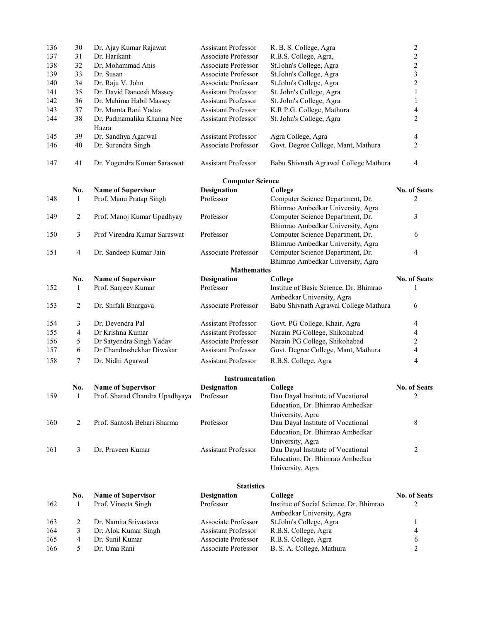| 136 | 30             | Dr. Ajay Kumar Rajawat                   | <b>Assistant Professor</b> | R. B. S. College, Agra                                                                   | $\sqrt{2}$               |
|-----|----------------|------------------------------------------|----------------------------|------------------------------------------------------------------------------------------|--------------------------|
| 137 | 31             | Dr. Harikant                             | Associate Professor        | R.B.S. College, Agra,                                                                    | $\overline{c}$           |
| 138 | 32             | Dr. Mohammad Anis                        | Associate Professor        | St.John's College, Agra                                                                  | $\overline{c}$           |
| 139 | 33             | Dr. Susan                                | Associate Professor        | St.John's College, Agra                                                                  | $\overline{\mathbf{3}}$  |
| 140 | 34             | Dr. Raju V. John                         | Associate Professor        | St.John's College, Agra                                                                  | $\overline{c}$           |
| 141 | 35             | Dr. David Daneesh Massey                 | Assistant Professor        | St. John's College, Agra                                                                 | $\mathbf{1}$             |
| 142 | 36             | Dr. Mahima Habil Massey                  | <b>Assistant Professor</b> | St. John's College, Agra                                                                 | $\mathbf{1}$             |
| 143 | 37             | Dr. Mamta Rani Yadav                     | <b>Assistant Professor</b> | K.R P.G. College, Mathura                                                                | 4                        |
| 144 | 38             | Dr. Padmamalika Khanna Nee<br>Hazra      | Assistant Professor        | St. John's College, Agra                                                                 | $\overline{c}$           |
| 145 | 39             | Dr. Sandhya Agarwal                      | Assistant Professor        | Agra College, Agra                                                                       | 4                        |
| 146 | 40             | Dr. Surendra Singh                       | Associate Professor        | Govt. Degree College, Mant, Mathura                                                      | $\overline{2}$           |
| 147 | 41             | Dr. Yogendra Kumar Saraswat              | Assistant Professor        | Babu Shivnath Agrawal College Mathura                                                    | 4                        |
|     |                |                                          | <b>Computer Science</b>    |                                                                                          |                          |
|     | No.            | <b>Name of Supervisor</b>                | <b>Designation</b>         | College                                                                                  | No. of Seats             |
| 148 | 1              | Prof. Manu Pratap Singh                  | Professor                  | Computer Science Department, Dr.<br>Bhimrao Ambedkar University, Agra                    | 2                        |
| 149 | $\overline{2}$ | Prof. Manoj Kumar Upadhyay               | Professor                  | Computer Science Department, Dr.<br>Bhimrao Ambedkar University, Agra                    | 3                        |
| 150 | 3              | Prof Virendra Kumar Saraswat             | Professor                  | Computer Science Department, Dr.<br>Bhimrao Ambedkar University, Agra                    | 6                        |
| 151 | $\overline{4}$ | Dr. Sandeep Kumar Jain                   | Associate Professor        | Computer Science Department, Dr.<br>Bhimrao Ambedkar University, Agra                    | 4                        |
|     |                |                                          | <b>Mathematics</b>         |                                                                                          |                          |
|     | No.            | <b>Name of Supervisor</b>                | <b>Designation</b>         | College                                                                                  | <b>No. of Seats</b>      |
| 152 | 1              | Prof. Sanjeev Kumar                      | Professor                  | Institue of Basic Science, Dr. Bhimrao<br>Ambedkar University, Agra                      | 1                        |
| 153 | $\overline{c}$ | Dr. Shifali Bhargava                     | Associate Professor        | Babu Shivnath Agrawal College Mathura                                                    | 6                        |
| 154 | 3              | Dr. Devendra Pal                         | Assistant Professor        | Govt. PG College, Khair, Agra                                                            | 4                        |
| 155 | 4              | Dr Krishna Kumar                         | <b>Assistant Professor</b> | Narain PG College, Shikohabad                                                            | 4                        |
| 156 | 5              | Dr Satyendra Singh Yadav                 | Associate Professor        | Narain PG College, Shikohabad                                                            | $\overline{c}$           |
| 157 | 6              | Dr Chandrashekhar Diwakar                | <b>Assistant Professor</b> | Govt. Degree College, Mant, Mathura                                                      | 4                        |
| 158 | $\tau$         | Dr. Nidhi Agarwal                        | Assistant Professor        | R.B.S. College, Agra                                                                     | $\overline{\mathcal{A}}$ |
|     |                |                                          | Instrumentation            |                                                                                          |                          |
|     | No.            | <b>Name of Supervisor</b>                | Designation                | College                                                                                  | <b>No. of Seats</b>      |
| 159 | $\mathbf{1}$   | Prof. Sharad Chandra Upadhyaya Professor |                            | Dau Dayal Institute of Vocational<br>Education, Dr. Bhimrao Ambedkar<br>University, Agra |                          |
| 160 | 2              | Prof. Santosh Behari Sharma              | Professor                  | Dau Dayal Institute of Vocational<br>Education, Dr. Bhimrao Ambedkar                     | 8                        |
| 161 | 3              | Dr. Praveen Kumar                        | <b>Assistant Professor</b> | University, Agra<br>Dau Dayal Institute of Vocational                                    | 2                        |
|     |                |                                          |                            | Education, Dr. Bhimrao Ambedkar<br>University, Agra                                      |                          |
|     |                |                                          | <b>Statistics</b>          |                                                                                          |                          |
|     | No.            | <b>Name of Supervisor</b>                | <b>Designation</b>         | College                                                                                  | No. of Seats             |
| 162 | 1              | Prof. Vineeta Singh                      | Professor                  | Institue of Social Science, Dr. Bhimrao<br>Ambedkar University, Agra                     | 2                        |
| 163 | 2              | Dr. Namita Srivastava                    | Associate Professor        | St.John's College, Agra                                                                  | 1                        |
| 164 | 3              | Dr. Alok Kumar Singh                     | <b>Assistant Professor</b> | R.B.S. College, Agra                                                                     | 4                        |
| 165 | $\overline{4}$ | Dr. Sunil Kumar                          | Associate Professor        | R.B.S. College, Agra                                                                     | 6                        |
| 166 | 5              | Dr. Uma Rani                             | Associate Professor        | B. S. A. College, Mathura                                                                | 2                        |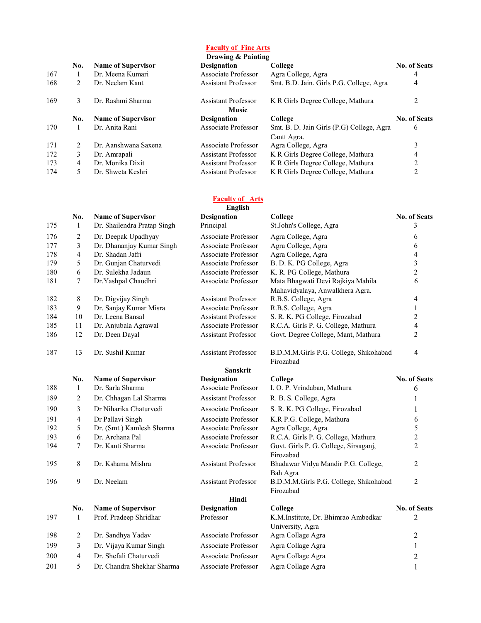Faculty of Fine Arts

|     | Drawing & Painting |                           |                                            |                                           |                     |  |
|-----|--------------------|---------------------------|--------------------------------------------|-------------------------------------------|---------------------|--|
|     | No.                | <b>Name of Supervisor</b> | <b>Designation</b>                         | College                                   | <b>No. of Seats</b> |  |
| 167 |                    | Dr. Meena Kumari          | Associate Professor                        | Agra College, Agra                        | 4                   |  |
| 168 | 2                  | Dr. Neelam Kant           | <b>Assistant Professor</b>                 | Smt. B.D. Jain. Girls P.G. College, Agra  | 4                   |  |
| 169 | 3                  | Dr. Rashmi Sharma         | <b>Assistant Professor</b><br><b>Music</b> | K R Girls Degree College, Mathura         |                     |  |
|     | No.                | <b>Name of Supervisor</b> | <b>Designation</b>                         | College                                   | <b>No. of Seats</b> |  |
| 170 |                    | Dr. Anita Rani            | Associate Professor                        | Smt. B. D. Jain Girls (P.G) College, Agra | 6                   |  |
|     |                    |                           |                                            | Cantt Agra.                               |                     |  |
| 171 | 2                  | Dr. Aanshwana Saxena      | Associate Professor                        | Agra College, Agra                        |                     |  |
| 172 | 3                  | Dr. Amrapali              | <b>Assistant Professor</b>                 | K R Girls Degree College, Mathura         | 4                   |  |
|     |                    |                           |                                            |                                           | $\mathfrak{D}$      |  |
| 173 | 4                  | Dr. Monika Dixit          | Assistant Professor                        | K R Girls Degree College, Mathura         |                     |  |

#### Faculty of **Arts**

|     |     |                             | English                    |                                                                      |                         |
|-----|-----|-----------------------------|----------------------------|----------------------------------------------------------------------|-------------------------|
|     | No. | <b>Name of Supervisor</b>   | <b>Designation</b>         | College                                                              | No. of Seats            |
| 175 | 1   | Dr. Shailendra Pratap Singh | Principal                  | St.John's College, Agra                                              | 3                       |
| 176 | 2   | Dr. Deepak Upadhyay         | Associate Professor        | Agra College, Agra                                                   | 6                       |
| 177 | 3   | Dr. Dhananjay Kumar Singh   | Associate Professor        | Agra College, Agra                                                   | 6                       |
| 178 | 4   | Dr. Shadan Jafri            | Associate Professor        | Agra College, Agra                                                   | 4                       |
| 179 | 5   | Dr. Gunjan Chaturvedi       | Associate Professor        | B. D. K. PG College, Agra                                            | $\overline{\mathbf{3}}$ |
| 180 | 6   | Dr. Sulekha Jadaun          | Associate Professor        | K. R. PG College, Mathura                                            | $\overline{2}$          |
| 181 | 7   | Dr.Yashpal Chaudhri         | Associate Professor        | Mata Bhagwati Devi Rajkiya Mahila<br>Mahavidyalaya, Anwalkhera Agra. | 6                       |
| 182 | 8   | Dr. Digvijay Singh          | <b>Assistant Professor</b> | R.B.S. College, Agra                                                 | 4                       |
| 183 | 9   | Dr. Sanjay Kumar Misra      | Associate Professor        | R.B.S. College, Agra                                                 | $\mathbf{1}$            |
| 184 | 10  | Dr. Leena Bansal            | <b>Assistant Professor</b> | S. R. K. PG College, Firozabad                                       | $\overline{2}$          |
| 185 | 11  | Dr. Anjubala Agrawal        | Associate Professor        | R.C.A. Girls P. G. College, Mathura                                  | 4                       |
| 186 | 12  | Dr. Deen Dayal              | <b>Assistant Professor</b> | Govt. Degree College, Mant, Mathura                                  | $\overline{2}$          |
| 187 | 13  | Dr. Sushil Kumar            | <b>Assistant Professor</b> | B.D.M.M.Girls P.G. College, Shikohabad<br>Firozabad                  | 4                       |
|     |     |                             | <b>Sanskrit</b>            |                                                                      |                         |
|     | No. | <b>Name of Supervisor</b>   | <b>Designation</b>         | College                                                              | <b>No. of Seats</b>     |
| 188 | 1   | Dr. Sarla Sharma            | Associate Professor        | I. O. P. Vrindaban, Mathura                                          | 6                       |
| 189 | 2   | Dr. Chhagan Lal Sharma      | <b>Assistant Professor</b> | R. B. S. College, Agra                                               | 1                       |
| 190 | 3   | Dr Niharika Chaturvedi      | Associate Professor        | S. R. K. PG College, Firozabad                                       | 1                       |
| 191 | 4   | Dr Pallavi Singh            | Associate Professor        | K.R P.G. College, Mathura                                            | 6                       |
| 192 | 5   | Dr. (Smt.) Kamlesh Sharma   | Associate Professor        | Agra College, Agra                                                   | 5                       |
| 193 | 6   | Dr. Archana Pal             | Associate Professor        | R.C.A. Girls P. G. College, Mathura                                  | $\overline{2}$          |
| 194 | 7   | Dr. Kanti Sharma            | Associate Professor        | Govt. Girls P. G. College, Sirsaganj,<br>Firozabad                   | $\overline{2}$          |
| 195 | 8   | Dr. Kshama Mishra           | <b>Assistant Professor</b> | Bhadawar Vidya Mandir P.G. College,                                  | $\overline{c}$          |
| 196 | 9   | Dr. Neelam                  | <b>Assistant Professor</b> | Bah Agra<br>B.D.M.M.Girls P.G. College, Shikohabad<br>Firozabad      | $\overline{2}$          |
|     |     |                             | Hindi                      |                                                                      |                         |
|     | No. | <b>Name of Supervisor</b>   | <b>Designation</b>         | College                                                              | No. of Seats            |
| 197 | 1   | Prof. Pradeep Shridhar      | Professor                  | K.M.Institute, Dr. Bhimrao Ambedkar<br>University, Agra              | $\overline{c}$          |
| 198 | 2   | Dr. Sandhya Yadav           | Associate Professor        | Agra Collage Agra                                                    | 2                       |
| 199 | 3   | Dr. Vijaya Kumar Singh      | Associate Professor        | Agra Collage Agra                                                    | $\mathbf{1}$            |
| 200 | 4   | Dr. Shefali Chaturvedi      | Associate Professor        | Agra Collage Agra                                                    | $\overline{c}$          |
| 201 | 5   | Dr. Chandra Shekhar Sharma  | Associate Professor        | Agra Collage Agra                                                    | $\mathbf{1}$            |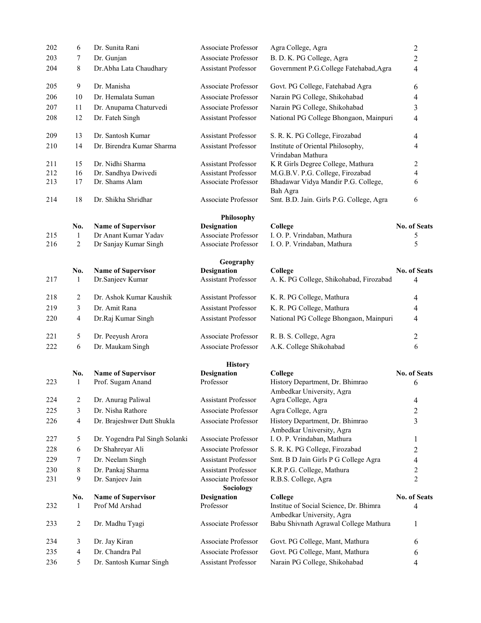| 202        | 6                   | Dr. Sunita Rani                               | Associate Professor                        | Agra College, Agra                                                  | $\sqrt{2}$               |
|------------|---------------------|-----------------------------------------------|--------------------------------------------|---------------------------------------------------------------------|--------------------------|
| 203        | 7                   | Dr. Gunjan                                    | Associate Professor                        | B. D. K. PG College, Agra                                           | $\overline{c}$           |
| 204        | 8                   | Dr.Abha Lata Chaudhary                        | <b>Assistant Professor</b>                 | Government P.G.College Fatehabad, Agra                              | 4                        |
| 205        | 9                   | Dr. Manisha                                   | Associate Professor                        | Govt. PG College, Fatehabad Agra                                    | 6                        |
| 206        | 10                  | Dr. Hemalata Suman                            | Associate Professor                        | Narain PG College, Shikohabad                                       | 4                        |
| 207        | 11                  | Dr. Anupama Chaturvedi                        | Associate Professor                        | Narain PG College, Shikohabad                                       | 3                        |
| 208        | 12                  | Dr. Fateh Singh                               | <b>Assistant Professor</b>                 | National PG College Bhongaon, Mainpuri                              | 4                        |
| 209        | 13                  | Dr. Santosh Kumar                             | <b>Assistant Professor</b>                 | S. R. K. PG College, Firozabad                                      | $\overline{4}$           |
| 210        | 14                  | Dr. Birendra Kumar Sharma                     | <b>Assistant Professor</b>                 | Institute of Oriental Philosophy,<br>Vrindaban Mathura              | 4                        |
| 211        | 15                  | Dr. Nidhi Sharma                              | <b>Assistant Professor</b>                 | K R Girls Degree College, Mathura                                   | 2                        |
| 212        | 16                  | Dr. Sandhya Dwivedi                           | <b>Assistant Professor</b>                 | M.G.B.V. P.G. College, Firozabad                                    | 4                        |
| 213        | 17                  | Dr. Shams Alam                                | Associate Professor                        | Bhadawar Vidya Mandir P.G. College,<br>Bah Agra                     | 6                        |
| 214        | 18                  | Dr. Shikha Shridhar                           | Associate Professor                        | Smt. B.D. Jain. Girls P.G. College, Agra                            | 6                        |
|            |                     |                                               | <b>Philosophy</b>                          |                                                                     |                          |
|            | No.                 | <b>Name of Supervisor</b>                     | <b>Designation</b>                         | College                                                             | <b>No. of Seats</b>      |
| 215<br>216 | 1<br>$\overline{2}$ | Dr Anant Kumar Yadav<br>Dr Sanjay Kumar Singh | Associate Professor<br>Associate Professor | I. O. P. Vrindaban, Mathura<br>I. O. P. Vrindaban, Mathura          | 5<br>5                   |
|            |                     |                                               |                                            |                                                                     |                          |
|            |                     |                                               | Geography                                  |                                                                     |                          |
| 217        | No.<br>1            | <b>Name of Supervisor</b><br>Dr.Sanjeev Kumar | Designation<br><b>Assistant Professor</b>  | College<br>A. K. PG College, Shikohabad, Firozabad                  | <b>No. of Seats</b><br>4 |
|            |                     |                                               |                                            |                                                                     |                          |
| 218        | 2                   | Dr. Ashok Kumar Kaushik                       | <b>Assistant Professor</b>                 | K. R. PG College, Mathura                                           | 4                        |
| 219        | 3                   | Dr. Amit Rana                                 | <b>Assistant Professor</b>                 | K. R. PG College, Mathura                                           | 4                        |
| 220        | 4                   | Dr.Raj Kumar Singh                            | <b>Assistant Professor</b>                 | National PG College Bhongaon, Mainpuri                              | 4                        |
| 221        | 5                   | Dr. Peeyush Arora                             | Associate Professor                        | R. B. S. College, Agra                                              | 2                        |
| 222        | 6                   | Dr. Maukam Singh                              | Associate Professor                        | A.K. College Shikohabad                                             | 6                        |
|            |                     |                                               | <b>History</b>                             |                                                                     |                          |
|            | No.                 | <b>Name of Supervisor</b>                     | <b>Designation</b>                         | College                                                             | <b>No. of Seats</b>      |
| 223        | 1                   | Prof. Sugam Anand                             | Professor                                  | History Department, Dr. Bhimrao<br>Ambedkar University, Agra        | 6                        |
| 224        | 2                   | Dr. Anurag Paliwal                            | <b>Assistant Professor</b>                 | Agra College, Agra                                                  | 4                        |
| 225        | 3                   | Dr. Nisha Rathore                             | Associate Professor                        | Agra College, Agra                                                  | 2                        |
| 226        | 4                   | Dr. Brajeshwer Dutt Shukla                    | Associate Professor                        | History Department, Dr. Bhimrao<br>Ambedkar University, Agra        | 3                        |
| 227        | 5                   | Dr. Yogendra Pal Singh Solanki                | Associate Professor                        | I. O. P. Vrindaban, Mathura                                         | 1                        |
| 228        | 6                   | Dr Shahreyar Ali                              | Associate Professor                        | S. R. K. PG College, Firozabad                                      | 2                        |
| 229        | 7                   | Dr. Neelam Singh                              | <b>Assistant Professor</b>                 | Smt. B D Jain Girls P G College Agra                                | 4                        |
| 230        | 8                   | Dr. Pankaj Sharma                             | <b>Assistant Professor</b>                 | K.R P.G. College, Mathura                                           | 2                        |
| 231        | 9                   | Dr. Sanjeev Jain                              | Associate Professor                        | R.B.S. College, Agra                                                | $\overline{2}$           |
|            |                     |                                               | Sociology                                  |                                                                     |                          |
|            | No.                 | <b>Name of Supervisor</b>                     | Designation                                | College                                                             | <b>No. of Seats</b>      |
| 232        | 1                   | Prof Md Arshad                                | Professor                                  | Institue of Social Science, Dr. Bhimra<br>Ambedkar University, Agra | 4                        |
| 233        | $\overline{c}$      | Dr. Madhu Tyagi                               | Associate Professor                        | Babu Shivnath Agrawal College Mathura                               | 1                        |
| 234        | 3                   | Dr. Jay Kiran                                 | Associate Professor                        | Govt. PG College, Mant, Mathura                                     | 6                        |
| 235        | 4                   | Dr. Chandra Pal                               | Associate Professor                        | Govt. PG College, Mant, Mathura                                     | 6                        |
| 236        | 5                   | Dr. Santosh Kumar Singh                       | <b>Assistant Professor</b>                 | Narain PG College, Shikohabad                                       | 4                        |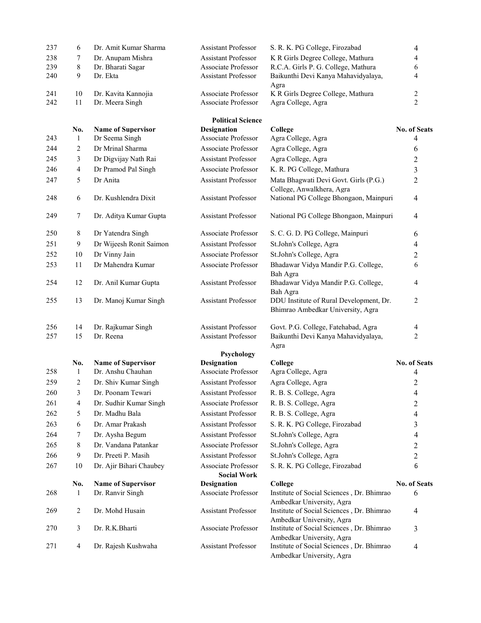| 237        | 6              | Dr. Amit Kumar Sharma           | <b>Assistant Professor</b>                        | S. R. K. PG College, Firozabad                                               | 4                   |
|------------|----------------|---------------------------------|---------------------------------------------------|------------------------------------------------------------------------------|---------------------|
| 238        | 7              | Dr. Anupam Mishra               | <b>Assistant Professor</b>                        | K R Girls Degree College, Mathura                                            | 4                   |
| 239        | 8              | Dr. Bharati Sagar               | Associate Professor                               | R.C.A. Girls P. G. College, Mathura                                          | 6                   |
| 240        | 9              | Dr. Ekta                        | <b>Assistant Professor</b>                        | Baikunthi Devi Kanya Mahavidyalaya,<br>Agra                                  | 4                   |
| 241        | 10             | Dr. Kavita Kannojia             | Associate Professor                               | K R Girls Degree College, Mathura                                            | $\overline{c}$      |
| 242        | 11             | Dr. Meera Singh                 | Associate Professor                               | Agra College, Agra                                                           | $\overline{2}$      |
|            |                |                                 | <b>Political Science</b>                          |                                                                              |                     |
| 243        | No.            | <b>Name of Supervisor</b>       | <b>Designation</b><br>Associate Professor         | College                                                                      | <b>No. of Seats</b> |
|            | 1              | Dr Seema Singh                  |                                                   | Agra College, Agra                                                           | 4                   |
| 244        | $\overline{2}$ | Dr Mrinal Sharma                | Associate Professor                               | Agra College, Agra                                                           | 6                   |
| 245        | 3              | Dr Digvijay Nath Rai            | <b>Assistant Professor</b>                        | Agra College, Agra                                                           | $\overline{c}$      |
| 246        | $\overline{4}$ | Dr Pramod Pal Singh             | Associate Professor                               | K. R. PG College, Mathura                                                    | 3                   |
| 247        | 5              | Dr Anita                        | Assistant Professor                               | Mata Bhagwati Devi Govt. Girls (P.G.)<br>College, Anwalkhera, Agra           | $\overline{c}$      |
| 248        | 6              | Dr. Kushlendra Dixit            | <b>Assistant Professor</b>                        | National PG College Bhongaon, Mainpuri                                       | $\overline{4}$      |
| 249        | 7              | Dr. Aditya Kumar Gupta          | <b>Assistant Professor</b>                        | National PG College Bhongaon, Mainpuri                                       | $\overline{4}$      |
| 250        | 8              | Dr Yatendra Singh               | Associate Professor                               | S. C. G. D. PG College, Mainpuri                                             | 6                   |
| 251        | 9              | Dr Wijeesh Ronit Saimon         | <b>Assistant Professor</b>                        | St.John's College, Agra                                                      | 4                   |
| 252        | 10             | Dr Vinny Jain                   | Associate Professor                               | St.John's College, Agra                                                      | $\overline{c}$      |
| 253        | 11             | Dr Mahendra Kumar               | Associate Professor                               | Bhadawar Vidya Mandir P.G. College,<br>Bah Agra                              | 6                   |
| 254        | 12             | Dr. Anil Kumar Gupta            | Assistant Professor                               | Bhadawar Vidya Mandir P.G. College,<br>Bah Agra                              | 4                   |
| 255        | 13             | Dr. Manoj Kumar Singh           | <b>Assistant Professor</b>                        | DDU Institute of Rural Development, Dr.<br>Bhimrao Ambedkar University, Agra | 2                   |
| 256<br>257 | 14<br>15       | Dr. Rajkumar Singh<br>Dr. Reena | <b>Assistant Professor</b><br>Assistant Professor | Govt. P.G. College, Fatehabad, Agra<br>Baikunthi Devi Kanya Mahavidyalaya,   | 4<br>2              |
|            |                |                                 | Psychology                                        | Agra                                                                         |                     |
|            | No.            | <b>Name of Supervisor</b>       | <b>Designation</b>                                | College                                                                      | <b>No. of Seats</b> |
| 258        | 1              | Dr. Anshu Chauhan               | <b>Associate Professor</b>                        | Agra College, Agra                                                           | 4                   |
| 259        | 2              | Dr. Shiv Kumar Singh            | <b>Assistant Professor</b>                        | Agra College, Agra                                                           | $\overline{c}$      |
| 260        | 3              | Dr. Poonam Tewari               | Assistant Professor                               | R. B. S. College, Agra                                                       | $\overline{4}$      |
| 261        | 4              | Dr. Sudhir Kumar Singh          | Associate Professor                               | R. B. S. College, Agra                                                       | $\overline{c}$      |
| 262        | 5              | Dr. Madhu Bala                  | <b>Assistant Professor</b>                        | R. B. S. College, Agra                                                       | 4                   |
| 263        | 6              | Dr. Amar Prakash                | <b>Assistant Professor</b>                        | S. R. K. PG College, Firozabad                                               | 3                   |
| 264        | 7              | Dr. Aysha Begum                 | Assistant Professor                               | St.John's College, Agra                                                      | 4                   |
| 265        | 8              | Dr. Vandana Patankar            | Associate Professor                               | St.John's College, Agra                                                      | 2                   |
| 266        | 9              | Dr. Preeti P. Masih             | <b>Assistant Professor</b>                        | St.John's College, Agra                                                      | 2                   |
| 267        | 10             | Dr. Ajir Bihari Chaubey         | Associate Professor                               | S. R. K. PG College, Firozabad                                               | 6                   |
|            | No.            | <b>Name of Supervisor</b>       | <b>Social Work</b><br><b>Designation</b>          | College                                                                      | <b>No. of Seats</b> |
| 268        | 1              | Dr. Ranvir Singh                | Associate Professor                               | Institute of Social Sciences, Dr. Bhimrao                                    | 6                   |
| 269        | $\overline{c}$ | Dr. Mohd Husain                 | <b>Assistant Professor</b>                        | Ambedkar University, Agra<br>Institute of Social Sciences, Dr. Bhimrao       | 4                   |
|            |                |                                 |                                                   | Ambedkar University, Agra                                                    |                     |
| 270        | 3              | Dr. R.K.Bharti                  | Associate Professor                               | Institute of Social Sciences, Dr. Bhimrao<br>Ambedkar University, Agra       | 3                   |
| 271        | 4              | Dr. Rajesh Kushwaha             | <b>Assistant Professor</b>                        | Institute of Social Sciences, Dr. Bhimrao<br>Ambedkar University, Agra       | $\overline{4}$      |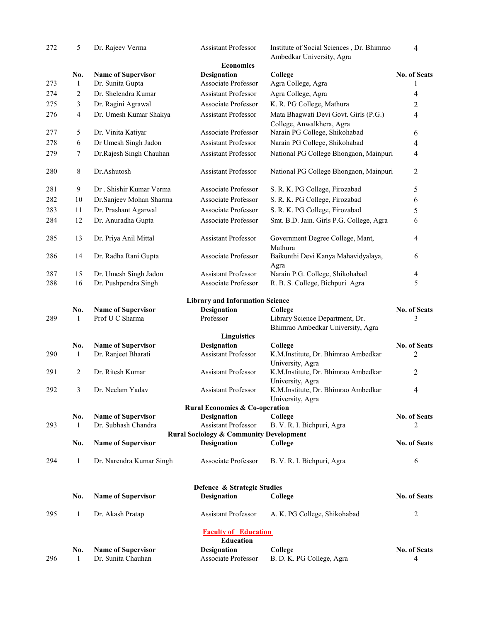| 272 | 5            | Dr. Rajeev Verma                                | Assistant Professor                                | Institute of Social Sciences, Dr. Bhimrao<br>Ambedkar University, Agra | 4                   |
|-----|--------------|-------------------------------------------------|----------------------------------------------------|------------------------------------------------------------------------|---------------------|
|     |              |                                                 | <b>Economics</b>                                   |                                                                        |                     |
|     | No.          | <b>Name of Supervisor</b>                       | <b>Designation</b>                                 | College                                                                | No. of Seats        |
| 273 | 1            | Dr. Sunita Gupta                                | Associate Professor                                | Agra College, Agra                                                     | 1                   |
| 274 | 2            | Dr. Shelendra Kumar                             | <b>Assistant Professor</b>                         | Agra College, Agra                                                     | 4                   |
| 275 | 3            | Dr. Ragini Agrawal                              | Associate Professor                                | K. R. PG College, Mathura                                              | $\overline{c}$      |
| 276 | 4            | Dr. Umesh Kumar Shakya                          | <b>Assistant Professor</b>                         | Mata Bhagwati Devi Govt. Girls (P.G.)<br>College, Anwalkhera, Agra     | $\overline{4}$      |
| 277 | 5            | Dr. Vinita Katiyar                              | Associate Professor                                | Narain PG College, Shikohabad                                          | 6                   |
| 278 | 6            | Dr Umesh Singh Jadon                            | <b>Assistant Professor</b>                         | Narain PG College, Shikohabad                                          | 4                   |
| 279 | 7            | Dr.Rajesh Singh Chauhan                         | <b>Assistant Professor</b>                         | National PG College Bhongaon, Mainpuri                                 | $\overline{4}$      |
| 280 | 8            | Dr.Ashutosh                                     | Assistant Professor                                | National PG College Bhongaon, Mainpuri                                 | $\overline{c}$      |
| 281 | 9            | Dr. Shishir Kumar Verma                         | Associate Professor                                | S. R. K. PG College, Firozabad                                         | 5                   |
| 282 | 10           | Dr.Sanjeev Mohan Sharma                         | Associate Professor                                | S. R. K. PG College, Firozabad                                         | 6                   |
| 283 | 11           | Dr. Prashant Agarwal                            | Associate Professor                                | S. R. K. PG College, Firozabad                                         | 5                   |
| 284 | 12           | Dr. Anuradha Gupta                              | Associate Professor                                | Smt. B.D. Jain. Girls P.G. College, Agra                               | 6                   |
| 285 | 13           | Dr. Priya Anil Mittal                           | <b>Assistant Professor</b>                         | Government Degree College, Mant,<br>Mathura                            | $\overline{4}$      |
| 286 | 14           | Dr. Radha Rani Gupta                            | Associate Professor                                | Baikunthi Devi Kanya Mahavidyalaya,<br>Agra                            | 6                   |
| 287 | 15           | Dr. Umesh Singh Jadon                           | <b>Assistant Professor</b>                         | Narain P.G. College, Shikohabad                                        | $\overline{4}$      |
| 288 | 16           | Dr. Pushpendra Singh                            | Associate Professor                                | R. B. S. College, Bichpuri Agra                                        | 5                   |
|     |              |                                                 | <b>Library and Information Science</b>             |                                                                        |                     |
|     | No.          | <b>Name of Supervisor</b>                       | Designation                                        | College                                                                | No. of Seats        |
| 289 | $\mathbf{1}$ | Prof U C Sharma                                 | Professor                                          | Library Science Department, Dr.<br>Bhimrao Ambedkar University, Agra   | 3                   |
|     |              |                                                 | <b>Linguistics</b>                                 |                                                                        |                     |
|     | No.          | <b>Name of Supervisor</b>                       | <b>Designation</b>                                 | College                                                                | No. of Seats        |
| 290 | 1            | Dr. Ranjeet Bharati                             | <b>Assistant Professor</b>                         | K.M.Institute, Dr. Bhimrao Ambedkar<br>University, Agra                | $\overline{c}$      |
| 291 | 2            | Dr. Ritesh Kumar                                | <b>Assistant Professor</b>                         | K.M.Institute, Dr. Bhimrao Ambedkar<br>University, Agra                | $\overline{2}$      |
| 292 | 3            | Dr. Neelam Yadav                                | <b>Assistant Professor</b>                         | K.M.Institute, Dr. Bhimrao Ambedkar                                    | 4                   |
|     |              |                                                 | <b>Rural Economics &amp; Co-operation</b>          | University, Agra                                                       |                     |
|     | No.          | <b>Name of Supervisor</b>                       | <b>Designation</b>                                 | College                                                                | No. of Seats        |
| 293 | 1            | Dr. Subhash Chandra                             | <b>Assistant Professor</b>                         | B. V. R. I. Bichpuri, Agra                                             | 2                   |
|     |              |                                                 | <b>Rural Sociology &amp; Community Development</b> |                                                                        |                     |
|     | No.          | <b>Name of Supervisor</b>                       | Designation                                        | College                                                                | <b>No. of Seats</b> |
| 294 | 1            | Dr. Narendra Kumar Singh                        | Associate Professor                                | B. V. R. I. Bichpuri, Agra                                             | 6                   |
|     |              |                                                 | Defence & Strategic Studies                        |                                                                        |                     |
|     | No.          | <b>Name of Supervisor</b>                       | Designation                                        | College                                                                | <b>No. of Seats</b> |
| 295 | $\mathbf{1}$ | Dr. Akash Pratap                                | <b>Assistant Professor</b>                         | A. K. PG College, Shikohabad                                           | 2                   |
|     |              |                                                 | <b>Faculty of Education</b>                        |                                                                        |                     |
|     |              |                                                 | <b>Education</b><br><b>Designation</b>             |                                                                        | No. of Seats        |
| 296 | No.<br>1     | <b>Name of Supervisor</b><br>Dr. Sunita Chauhan | Associate Professor                                | College<br>B. D. K. PG College, Agra                                   | 4                   |
|     |              |                                                 |                                                    |                                                                        |                     |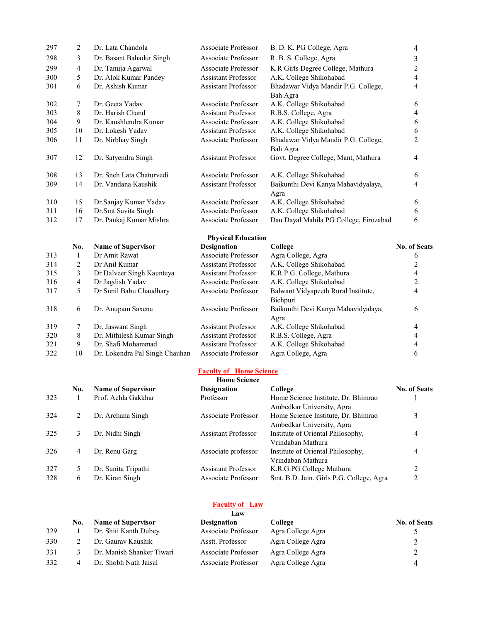| 297 | 2   | Dr. Lata Chandola              | <b>Associate Professor</b> | B. D. K. PG College, Agra              | 4                   |
|-----|-----|--------------------------------|----------------------------|----------------------------------------|---------------------|
| 298 | 3   | Dr. Basant Bahadur Singh       | Associate Professor        | R. B. S. College, Agra                 | 3                   |
| 299 | 4   | Dr. Tanuja Agarwal             | Associate Professor        | K R Girls Degree College, Mathura      | 2                   |
| 300 | 5   | Dr. Alok Kumar Pandey          | <b>Assistant Professor</b> | A.K. College Shikohabad                | $\overline{4}$      |
| 301 | 6   | Dr. Ashish Kumar               | <b>Assistant Professor</b> | Bhadawar Vidya Mandir P.G. College,    | 4                   |
|     |     |                                |                            | Bah Agra                               |                     |
| 302 | 7   | Dr. Geeta Yadav                | Associate Professor        | A.K. College Shikohabad                | 6                   |
| 303 | 8   | Dr. Harish Chand               | <b>Assistant Professor</b> | R.B.S. College, Agra                   | 4                   |
| 304 | 9   | Dr. Kaushlendra Kumar          | Associate Professor        | A.K. College Shikohabad                | 6                   |
| 305 | 10  | Dr. Lokesh Yadav               | <b>Assistant Professor</b> | A.K. College Shikohabad                | 6                   |
| 306 | 11  | Dr. Nirbhay Singh              | Associate Professor        | Bhadawar Vidya Mandir P.G. College,    | 2                   |
|     |     |                                |                            | Bah Agra                               |                     |
| 307 | 12  | Dr. Satyendra Singh            | <b>Assistant Professor</b> | Govt. Degree College, Mant, Mathura    | 4                   |
|     |     |                                |                            |                                        |                     |
| 308 | 13  | Dr. Sneh Lata Chaturvedi       | <b>Associate Professor</b> | A.K. College Shikohabad                | 6                   |
| 309 | 14  | Dr. Vandana Kaushik            | <b>Assistant Professor</b> | Baikunthi Devi Kanya Mahavidyalaya,    | 4                   |
|     |     |                                |                            | Agra                                   |                     |
| 310 | 15  | Dr.Sanjay Kumar Yadav          | Associate Professor        | A.K. College Shikohabad                | 6                   |
| 311 | 16  | Dr.Smt Savita Singh            | Associate Professor        | A.K. College Shikohabad                | 6                   |
| 312 | 17  | Dr. Pankaj Kumar Mishra        | Associate Professor        | Dau Dayal Mahila PG College, Firozabad | 6                   |
|     |     |                                | <b>Physical Education</b>  |                                        |                     |
|     | No. | <b>Name of Supervisor</b>      | <b>Designation</b>         | College                                | <b>No. of Seats</b> |
| 313 | 1   | Dr Amit Rawat                  | Associate Professor        | Agra College, Agra                     | 6                   |
| 314 | 2   | Dr Anil Kumar                  | <b>Assistant Professor</b> | A.K. College Shikohabad                | $\overline{c}$      |
| 315 | 3   | Dr Dalveer Singh Kaunteya      | <b>Assistant Professor</b> | K.R P.G. College, Mathura              | 4                   |
| 316 | 4   | Dr Jagdish Yadav               | Associate Professor        | A.K. College Shikohabad                | $\overline{c}$      |
| 317 | 5   | Dr Sunil Babu Chaudhary        | Associate Professor        | Balwant Vidyapeeth Rural Institute,    | 4                   |
|     |     |                                |                            | Bichpuri                               |                     |
| 318 | 6   | Dr. Anupam Saxena              | Associate Professor        | Baikunthi Devi Kanya Mahavidyalaya,    | 6                   |
|     |     |                                |                            | Agra                                   |                     |
| 319 | 7   | Dr. Jaswant Singh              | <b>Assistant Professor</b> | A.K. College Shikohabad                | 4                   |
| 320 | 8   | Dr. Mithilesh Kumar Singh      | <b>Assistant Professor</b> | R.B.S. College, Agra                   | 4                   |
| 321 | 9   | Dr. Shafi Mohammad             | <b>Assistant Professor</b> | A.K. College Shikohabad                | 4                   |
| 322 | 10  | Dr. Lokendra Pal Singh Chauhan | Associate Professor        | Agra College, Agra                     | 6                   |

#### Faculty of Home Science

|     | <b>Home Science</b> |                           |                            |                                                                  |                     |  |  |
|-----|---------------------|---------------------------|----------------------------|------------------------------------------------------------------|---------------------|--|--|
|     | No.                 | <b>Name of Supervisor</b> | <b>Designation</b>         | College                                                          | <b>No. of Seats</b> |  |  |
| 323 |                     | Prof. Achla Gakkhar       | Professor                  | Home Science Institute, Dr. Bhimrao<br>Ambedkar University, Agra |                     |  |  |
| 324 |                     | Dr. Archana Singh         | Associate Professor        | Home Science Institute, Dr. Bhimrao<br>Ambedkar University, Agra |                     |  |  |
| 325 | 3                   | Dr. Nidhi Singh           | <b>Assistant Professor</b> | Institute of Oriental Philosophy,<br>Vrindaban Mathura           | 4                   |  |  |
| 326 | 4                   | Dr. Renu Garg             | Associate professor        | Institute of Oriental Philosophy,<br>Vrindaban Mathura           | 4                   |  |  |
| 327 | 5                   | Dr. Sunita Tripathi       | Assistant Professor        | K.R.G.PG College Mathura                                         |                     |  |  |
| 328 | 6                   | Dr. Kiran Singh           | Associate Professor        | Smt. B.D. Jain. Girls P.G. College, Agra                         | ∍                   |  |  |

#### **Faculty of Law**

|     | Law |                           |                     |                   |                     |  |
|-----|-----|---------------------------|---------------------|-------------------|---------------------|--|
|     | No. | <b>Name of Supervisor</b> | <b>Designation</b>  | College           | <b>No. of Seats</b> |  |
| 329 |     | Dr. Shiti Kanth Dubey     | Associate Professor | Agra College Agra |                     |  |
| 330 |     | Dr. Gaurav Kaushik        | Asstt. Professor    | Agra College Agra |                     |  |
| 331 |     | Dr. Manish Shanker Tiwari | Associate Professor | Agra College Agra | $\gamma$            |  |
| 332 | 4   | Dr. Shobh Nath Jaisal     | Associate Professor | Agra College Agra |                     |  |